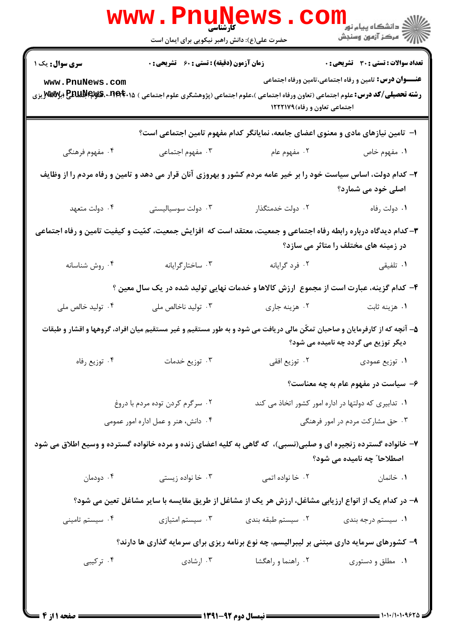|                                                                                                                                                                    | WWW . PII<br>UIN<br><b>َ كَاْرِشْنَاسِيَ</b><br>حضرت علی(ع): دانش راهبر نیکویی برای ایمان است |                                                                                                                | ر دانشکاه پيام نور <mark>−</mark><br>ا∛ مرکز آزمون وسنجش      |  |  |
|--------------------------------------------------------------------------------------------------------------------------------------------------------------------|-----------------------------------------------------------------------------------------------|----------------------------------------------------------------------------------------------------------------|---------------------------------------------------------------|--|--|
| <b>سری سوال :</b> یک ۱                                                                                                                                             | زمان آزمون (دقیقه) : تستی : 60 ٪ تشریحی : 0                                                   |                                                                                                                | تعداد سوالات : تستي : 30 - تشريحي : 0                         |  |  |
| www.PnuNews.com<br><b>رشته تحصیلی/کد درس:</b> علوم اجتماعی (تعاون ورفاه اجتماعی )،علوم اجتماعی (پژوهشگری علوم اجتماعی ) <b>PAU-PWS ،-194</b> ۴۰۱۵ (بزی             |                                                                                               | اجتماعی تعاون و رفاه)١٢٢٢١٧٩                                                                                   | <b>عنـــوان درس:</b> تامین و رفاه اجتماعی،تامین ورفاه اجتماعی |  |  |
| ا– تامین نیازهای مادی و معنوی اعضای جامعه، نمایانگر کدام مفهوم تامین اجتماعی است؟                                                                                  |                                                                                               |                                                                                                                |                                                               |  |  |
| ۰۴ مفهوم فرهنگی                                                                                                                                                    | ۰۳ مفهوم اجتماعی                                                                              | ۰۲ مفهوم عام                                                                                                   | ٠١ مفهوم خاص                                                  |  |  |
| ۲- کدام دولت، اساس سیاست خود را بر خیر عامه مردم کشور و بهروزی آنان قرار می دهد و تامین و رفاه مردم را از وظایف<br>اصلی خود می شمارد؟                              |                                                                                               |                                                                                                                |                                                               |  |  |
| ۰۴ دولت متعهد                                                                                                                                                      | ۰۳ دولت سوسیالیستی                                                                            | ۰۲ دولت خدمتگذار                                                                                               | ۰۱ دولت رفاه                                                  |  |  |
| ۳– کدام دیدگاه درباره رابطه رفاه اجتماعی و جمعیت، معتقد است که آفزایش جمعیت، کمّیت و کیفیت تامین و رفاه اجتماعی<br>در زمینه های مختلف را متاثر می سازد؟            |                                                                                               |                                                                                                                |                                                               |  |  |
| ۰۴ روش شناسانه                                                                                                                                                     | ۰۳ ساختارگرایانه                                                                              | ۰۲ فرد گرایانه                                                                                                 | ۰۱ تلفیقی                                                     |  |  |
|                                                                                                                                                                    |                                                                                               | ۴– کدام گزینه، عبارت است از مجموع ًارزش کالاها و خدمات نهایی تولید شده در یک سال معین ؟                        |                                                               |  |  |
| ۰۴ تولید خالص ملی                                                                                                                                                  | ۰۳ تولید ناخالص ملی                                                                           | ۰۲ هزینه جاری                                                                                                  | ۰۱ هزينه ثابت                                                 |  |  |
| ۵− آنچه که از کارفرمایان و صاحبان تمکّن مالی دریافت می شود و به طور مستقیم و غیر مستقیم میان افراد، گروهها و اقشار و طبقات<br>دیگر توزیع می گردد چه نامیده می شود؟ |                                                                                               |                                                                                                                |                                                               |  |  |
| ۰۴ توزیع رفاه                                                                                                                                                      | ۰۳ توزیع خدمات                                                                                | ۰۲ توزیع افقی                                                                                                  | ۰۱ توزیع عمودی                                                |  |  |
|                                                                                                                                                                    |                                                                                               |                                                                                                                | ۶– سیاست در مفهوم عام به چه معناست؟                           |  |  |
| ۰۲ سرگرم کردن توده مردم با دروغ                                                                                                                                    |                                                                                               | ۰۱ تدابیری که دولتها در اداره امور کشور اتخاذ می کند                                                           |                                                               |  |  |
|                                                                                                                                                                    | ۰۴ دانش، هنر و عمل اداره امور عمومی                                                           | ۰۳ حق مشاركت مردم در امور فرهنگي                                                                               |                                                               |  |  |
|                                                                                                                                                                    |                                                                                               | ۷– خانواده گسترده زنجیره ای و صلبی(نسبی)، که گاهی به کلیه اعضای زنده و مرده خانواده گسترده و وسیع اطلاق می شود | اصطلاحا" چه نامیده می شود؟                                    |  |  |
| ۰۴ دودمان                                                                                                                                                          | ۰۳ خا نواده زیستی                                                                             | ۰۲ خا نواده اتمی                                                                                               | ۰۱ خانمان                                                     |  |  |
|                                                                                                                                                                    |                                                                                               | ۸– در کدام یک از انواع ارزیابی مشاغل، ارزش هر یک از مشاغل از طریق مقایسه با سایر مشاغل تعین می شود؟            |                                                               |  |  |
| ۰۴ سیستم تامینی                                                                                                                                                    | ۰۳ سیستم امتیازی                                                                              | ۰۲ سیستم طبقه بندی                                                                                             | ۰۱ سیستم درجه بندی                                            |  |  |
|                                                                                                                                                                    |                                                                                               | ۹- کشورهای سرمایه داری مبتنی بر لیبرالیسم، چه نوع برنامه ریزی برای سرمایه گذاری ها دارند؟                      |                                                               |  |  |
| ۰۴ ترکیبی                                                                                                                                                          | ۰۳ ارشادی                                                                                     | ۰۲ راهنما و راهگشا                                                                                             | ۰۱ مطلق و دستوری                                              |  |  |
|                                                                                                                                                                    |                                                                                               |                                                                                                                |                                                               |  |  |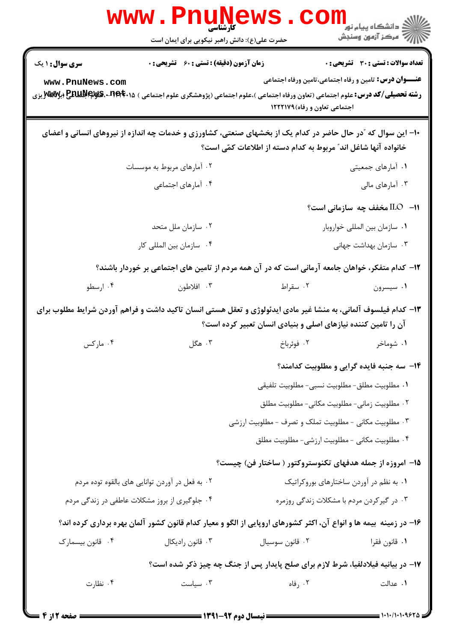| <b>WWW</b>                                                                                                                                                                      | کارشناسہ<br>حضرت علی(ع): دانش راهبر نیکویی برای ایمان است |                                                                                                                                                                                                                                       | ∑ دانشڪاه پيام نو <mark>ر</mark><br>ر <i>7</i> مرڪز آزمون وسنڊش |  |
|---------------------------------------------------------------------------------------------------------------------------------------------------------------------------------|-----------------------------------------------------------|---------------------------------------------------------------------------------------------------------------------------------------------------------------------------------------------------------------------------------------|-----------------------------------------------------------------|--|
| <b>سری سوال : ۱ یک</b>                                                                                                                                                          | <b>زمان آزمون (دقیقه) : تستی : 60 ٪ تشریحی : 0</b>        |                                                                                                                                                                                                                                       | تعداد سوالات : تستى : 30 - تشريحي : 0                           |  |
| www.PnuNews.com                                                                                                                                                                 |                                                           | <b>عنـــوان درس:</b> تامین و رفاه اجتماعی،تامین ورفاه اجتماعی<br><b>رشته تحصیلی/کد درس:</b> علوم اجتماعی (تعاون ورفاه اجتماعی )،علوم اجتماعی (پژوهشگری علوم اجتماعی ) <b>PAULA (PRULL) (بWW</b> Y یزی<br>اجتماعی تعاون و رفاه)١٢٢٢١٧٩ |                                                                 |  |
| ۱۰- این سوال که آدر حال حاضر در کدام یک از بخشهای صنعتی، کشاورزی و خدمات چه اندازه از نیروهای انسانی و اعضای<br>خانواده آنها شاغل اند ّ مربوط به کدام دسته از اطلاعات کمّی است؟ |                                                           |                                                                                                                                                                                                                                       |                                                                 |  |
|                                                                                                                                                                                 | ۲. آمارهای مربوط به موسسات                                |                                                                                                                                                                                                                                       | ۰۱ آمارهای جمعیتی                                               |  |
|                                                                                                                                                                                 | ۰۴ آمارهای اجتماعی                                        | ۰۳ آمارهای مالی                                                                                                                                                                                                                       |                                                                 |  |
|                                                                                                                                                                                 |                                                           |                                                                                                                                                                                                                                       | 11- ILO مخفف چه سازمانی است؟                                    |  |
|                                                                                                                                                                                 | ٠١ سازمان بين المللي خواروبار<br>۰۲ سازمان ملل متحد       |                                                                                                                                                                                                                                       |                                                                 |  |
|                                                                                                                                                                                 | ۰۴ سازمان بين المللي كار                                  |                                                                                                                                                                                                                                       | ۰۳ سازمان بهداشت جهانی                                          |  |
|                                                                                                                                                                                 |                                                           | ۱۲– کدام متفکر، خواهان جامعه آرمانی است که در آن همه مردم از تامین های اجتماعی بر خوردار باشند؟                                                                                                                                       |                                                                 |  |
| ۰۴ ارسطو                                                                                                                                                                        | ۰۳ افلاطون                                                | ۰۲ سقراط                                                                                                                                                                                                                              | ۰۱ سیسرون                                                       |  |
| ۱۳– کدام فیلسوف آلمانی، به منشا غیر مادی ایدئولوژی و تعقل هستی انسان تاکید داشت و فراهم آوردن شرایط مطلوب برای<br>آن را تامین کننده نیازهای اصلی و بنیادی انسان تعبیر کرده است؟ |                                                           |                                                                                                                                                                                                                                       |                                                                 |  |
| ۰۴ مارکس                                                                                                                                                                        | ۰۳ هگل                                                    | ۰۲ فوئرباخ                                                                                                                                                                                                                            | ۰۱ شوماخر                                                       |  |
|                                                                                                                                                                                 |                                                           |                                                                                                                                                                                                                                       | ۱۴- سه جنبه فایده گرایی و مطلوبیت کدامند؟                       |  |
|                                                                                                                                                                                 |                                                           | ٠١ مطلوبيت مطلق- مطلوبيت نسبي- مطلوبيت تلفيقي                                                                                                                                                                                         |                                                                 |  |
|                                                                                                                                                                                 | ۰۲ مطلوبیت زمانی- مطلوبیت مکانی- مطلوبیت مطلق             |                                                                                                                                                                                                                                       |                                                                 |  |
|                                                                                                                                                                                 | ۰۳ مطلوبیت مکانی - مطلوبیت تملک و تصرف - مطلوبیت ارزشی    |                                                                                                                                                                                                                                       |                                                                 |  |
|                                                                                                                                                                                 |                                                           | ۰۴ مطلوبیت مکانی - مطلوبیت ارزشی- مطلوبیت مطلق                                                                                                                                                                                        |                                                                 |  |
|                                                                                                                                                                                 |                                                           | ۱۵– امروزه از جمله هدفهای تکنوستروکتور ( ساختار فن) چیست؟                                                                                                                                                                             |                                                                 |  |
| ۰۲ به فعل در آوردن توانایی های بالقوه توده مردم                                                                                                                                 |                                                           |                                                                                                                                                                                                                                       | ٠١ به نظم در آوردن ساختارهای بوروكراتيك                         |  |
| ۰۴ جلوگیری از بروز مشکلات عاطفی در زندگی مردم                                                                                                                                   |                                                           | ۰۳ در گیرکردن مردم با مشکلات زندگی روزمره                                                                                                                                                                                             |                                                                 |  |
| ۱۶– در زمینه بیمه ها و انواع آن، اکثر کشورهای اروپایی از الگو و معیار کدام قانون کشور آلمان بهره برداری کرده اند؟                                                               |                                                           |                                                                                                                                                                                                                                       |                                                                 |  |
| ۰۴ قانون بیسمارک                                                                                                                                                                | ۰۳ قانون راديكال                                          | ۰۲ قانون سوسيال                                                                                                                                                                                                                       | ۰۱ قانون فقرا                                                   |  |
| ۱۷- در بیانیه فیلادلفیا، شرط لازم برای صلح پایدار پس از جنگ چه چیز ذکر شده است؟                                                                                                 |                                                           |                                                                                                                                                                                                                                       |                                                                 |  |
| ۰۴ نظارت                                                                                                                                                                        | $\cdot$ ۳ سیاست                                           | ۰۲ رفاه                                                                                                                                                                                                                               | ۰۱ عدالت                                                        |  |
|                                                                                                                                                                                 |                                                           |                                                                                                                                                                                                                                       |                                                                 |  |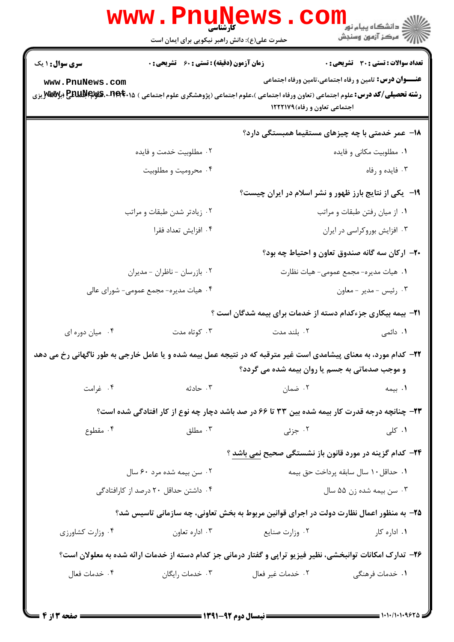|                                                                                                                          | <b>WWW.FNUNEWS</b><br><b>کارشناسی</b><br>حضرت علی(ع): دانش راهبر نیکویی برای ایمان است                      |                                                                                                                                                                                                                                             | د دانشگاه پیام نور<br>ا∜ مرکز آزمون وسنجش      |
|--------------------------------------------------------------------------------------------------------------------------|-------------------------------------------------------------------------------------------------------------|---------------------------------------------------------------------------------------------------------------------------------------------------------------------------------------------------------------------------------------------|------------------------------------------------|
| <b>سری سوال : ۱ یک</b>                                                                                                   | <b>زمان آزمون (دقیقه) : تستی : 60 ٪ تشریحی : 0</b>                                                          |                                                                                                                                                                                                                                             | <b>تعداد سوالات : تستی : 30 ٪ تشریحی : 0</b>   |
| www.PnuNews.com                                                                                                          |                                                                                                             | <b>عنـــوان درس:</b> تامین و رفاه اجتماعی،تامین ورفاه اجتماعی<br><b>رشته تحصیلی/کد درس:</b> علوم اجتماعی (تعاون ورفاه اجتماعی )،علوم اجتماعی (پژوهشگری علوم اجتماعی ) <b>۱۵۰*۲۹۴۰،BPپایلالیج برWWT</b> بزی<br>اجتماعی تعاون و رفاه) ۱۲۲۲۱۷۹ |                                                |
|                                                                                                                          |                                                                                                             | <b>۱۸</b> - عمر خدمتی با چه چیزهای مستقیما همبستگی دارد؟                                                                                                                                                                                    |                                                |
|                                                                                                                          | ۰۲ مطلوبیت خدمت و فایده                                                                                     |                                                                                                                                                                                                                                             | ۰۱ مطلوبیت مکانی و فایده                       |
|                                                                                                                          | ۰۴ محرومیت و مطلوبیت                                                                                        |                                                                                                                                                                                                                                             | ۰۳ فایده و رفاه                                |
|                                                                                                                          |                                                                                                             | <b>۱۹</b> - یکی از نتایج بارز ظهور و نشر اسلام در ایران چیست؟                                                                                                                                                                               |                                                |
|                                                                                                                          | ۰۲ زیادتر شدن طبقات و مراتب                                                                                 | ۰۱ از میان رفتن طبقات و مراتب                                                                                                                                                                                                               |                                                |
| ۰۴ افزايش تعداد فقرا                                                                                                     |                                                                                                             | ۰۳ افزایش بوروکراسی در ایران                                                                                                                                                                                                                |                                                |
|                                                                                                                          |                                                                                                             |                                                                                                                                                                                                                                             | ۲۰- ارکان سه گانه صندوق تعاون و احتیاط چه بود؟ |
|                                                                                                                          | ۰۲ بازرسان - ناظران - مديران                                                                                | ٠١ هيات مديره- مجمع عمومي- هيات نظارت                                                                                                                                                                                                       |                                                |
|                                                                                                                          | ۰۴ هیات مدیره- مجمع عمومی- شورای عالی                                                                       |                                                                                                                                                                                                                                             | ۰۳ رئيس - مدير - معاون                         |
|                                                                                                                          |                                                                                                             | <b>۲۱</b> - بیمه بیکاری جزءکدام دسته از خدمات برای بیمه شدگان است ؟                                                                                                                                                                         |                                                |
| ۰۴ میان دوره ای                                                                                                          | ۰۳ کوتاه مدت                                                                                                | ۰۲ بلند مدت                                                                                                                                                                                                                                 | ۰۱ دائمی                                       |
| <b>۲۲</b> – کدام مورد، به معنای پیشامدی است غیر مترقبه که در نتیجه عمل بیمه شده و یا عامل خارجی به طور ناگهانی رخ می دهد |                                                                                                             | و موجب صدماتی به جسم یا روان بیمه شده می گردد؟                                                                                                                                                                                              |                                                |
| ۰۴ غرامت                                                                                                                 | ۰۳ حادثه                                                                                                    | ۰۲ ضمان                                                                                                                                                                                                                                     | ۰۱ بیمه                                        |
|                                                                                                                          | ۲۳- چنانچه درجه قدرت کار بیمه شده بین ۳۳ تا ۶۶ در صد باشد دچار چه نوع از کار افتادگی شده است؟               |                                                                                                                                                                                                                                             |                                                |
| ۰۴ مقطوع                                                                                                                 | ۰۳ مطلق                                                                                                     | ۰۲ جزئی                                                                                                                                                                                                                                     | ۰۱ کلی                                         |
|                                                                                                                          |                                                                                                             | ۲۴– کدام گزینه در مورد قانون باز نشستگی صحیح نمی باشد ؟                                                                                                                                                                                     |                                                |
|                                                                                                                          | ۰۲ سن بیمه شده مرد ۶۰ سال                                                                                   | ۰۱ حداقل ۱۰ سال سابقه پرداخت حق بیمه                                                                                                                                                                                                        |                                                |
|                                                                                                                          | ۰۴ داشتن حداقل ۲۰ درصد از کارافتادگی                                                                        | ۰۳ سن بیمه شده زن ۵۵ سال                                                                                                                                                                                                                    |                                                |
|                                                                                                                          | ۲۵- به منظور اعمال نظارت دولت در اجرای قوانین مربوط به بخش تعاونی، چه سازمانی تاسیس شد؟                     |                                                                                                                                                                                                                                             |                                                |
| ۰۴ وزارت کشاورزی                                                                                                         | ۰۳ اداره تعاون                                                                                              | ۰۲ وزارت صنایع                                                                                                                                                                                                                              | ۰۱. اداره کار                                  |
|                                                                                                                          | ۲۶- تدارک امکانات توانبخشی، نظیر فیزیو تراپی و گفتار درمانی جز کدام دسته از خدمات ارائه شده به معلولان است؟ |                                                                                                                                                                                                                                             |                                                |
| ۰۴ خدمات فعال                                                                                                            | ۰۳ خدمات رایگان                                                                                             | ٠٢ خدمات غير فعال                                                                                                                                                                                                                           | ۰۱ خدمات فرهنگ <sub>ی</sub>                    |
|                                                                                                                          |                                                                                                             |                                                                                                                                                                                                                                             |                                                |